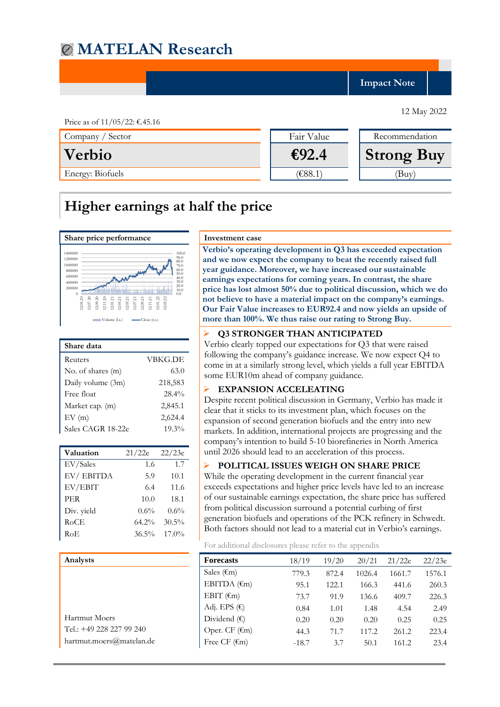**Impact Note**

Price as of 11/05/22: €.45.16 Company / Sector Fair Value Recommendation **Verbio €92.4 Strong Buy** Energy: Biofuels (E88.1) (Buy)

# **Higher earnings at half the price**



| <b>VBKG.DE</b> |
|----------------|
| 63.0           |
| 218,583        |
| 28.4%          |
| 2,845.1        |
| 2,624.4        |
| 19.3%          |
|                |

| Valuation  | 21/22e   | 22/23e   |
|------------|----------|----------|
| EV/Sales   | 1.6      | 1.7      |
| EV/EBITDA  | 5.9      | 10.1     |
| EV/EBIT    | 6.4      | 11.6     |
| <b>PER</b> | 10.0     | 18.1     |
| Div. yield | $0.6\%$  | $0.6\%$  |
| RoCE       | 64.2%    | $30.5\%$ |
| RoE        | $36.5\%$ | $17.0\%$ |

| Analysts                 | Fore        |
|--------------------------|-------------|
|                          | Sales       |
|                          | <b>EBIT</b> |
|                          | <b>EBIT</b> |
|                          | Adj.        |
| <b>Hartmut Moers</b>     | Divid       |
| Tel.: +49 228 227 99 240 |             |
| hartmut.moers@matelan.de | Free        |

**Verbio's operating development in Q3 has exceeded expectation and we now expect the company to beat the recently raised full year guidance. Moreover, we have increased our sustainable earnings expectations for coming years. In contrast, the share price has lost almost 50% due to political discussion, which we do not believe to have a material impact on the company's earnings. Our Fair Value increases to EUR92.4 and now yields an upside of more than 100%. We thus raise our rating to Strong Buy.**

### ➢ **Q3 STRONGER THAN ANTICIPATED**

Verbio clearly topped our expectations for Q3 that were raised following the company's guidance increase. We now expect Q4 to come in at a similarly strong level, which yields a full year EBITDA some EUR10m ahead of company guidance.

### ➢ **EXPANSION ACCELEATING**

Despite recent political discussion in Germany, Verbio has made it clear that it sticks to its investment plan, which focuses on the expansion of second generation biofuels and the entry into new markets. In addition, international projects are progressing and the company's intention to build 5-10 biorefineries in North America until 2026 should lead to an acceleration of this process.

## ➢ **POLITICAL ISSUES WEIGH ON SHARE PRICE**

While the operating development in the current financial year exceeds expectations and higher price levels have led to an increase of our sustainable earnings expectation, the share price has suffered from political discussion surround a potential curbing of first generation biofuels and operations of the PCK refinery in Schwedt. Both factors should not lead to a material cut in Verbio's earnings.

For additional disclosures please refer to the appendix

| Analysts                 | <b>Forecasts</b>        | 18/19   | 19/20 | 20/21  | 21/22e | 22/23e |
|--------------------------|-------------------------|---------|-------|--------|--------|--------|
|                          | Sales $(\epsilon m)$    | 779.3   | 872.4 | 1026.4 | 1661.7 | 1576.1 |
|                          | EBITDA $(\epsilon m)$   | 95.1    | 122.1 | 166.3  | 441.6  | 260.3  |
|                          | EBIT $(\epsilon_m)$     | 73.7    | 91.9  | 136.6  | 409.7  | 226.3  |
|                          | Adj. EPS $(\epsilon)$   | 0.84    | 1.01  | 1.48   | 4.54   | 2.49   |
| Hartmut Moers            | Dividend $(\epsilon)$   | 0.20    | 0.20  | 0.20   | 0.25   | 0.25   |
| Tel.: +49 228 227 99 240 | Oper. CF $(\epsilon m)$ | 44.3    | 71.7  | 117.2  | 261.2  | 223.4  |
| hartmut.moers@matelan.de | Free CF $(\epsilon m)$  | $-18.7$ | 3.7   | 50.1   | 161.2  | 23.4   |
|                          |                         |         |       |        |        |        |

12 May 2022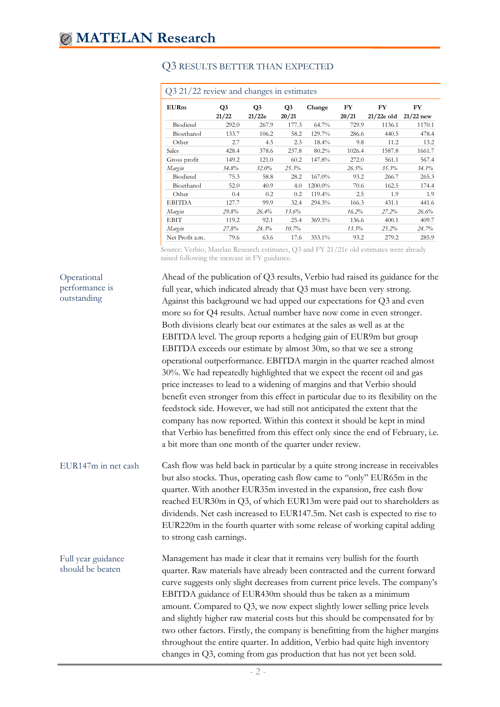| Q3 21/22 review and changes in estimates |             |                          |                         |          |             |                    |                   |  |
|------------------------------------------|-------------|--------------------------|-------------------------|----------|-------------|--------------------|-------------------|--|
| <b>EURm</b>                              | Q3<br>21/22 | Q <sub>3</sub><br>21/22e | Q <sub>3</sub><br>20/21 | Change   | FY<br>20/21 | FY<br>$21/22e$ old | FY<br>$21/22$ new |  |
| Biodiesel                                | 292.0       | 267.9                    | 177.3                   | 64.7%    | 729.9       | 1136.1             | 1170.1            |  |
| Bioethanol                               | 133.7       | 106.2                    | 58.2                    | 129.7%   | 286.6       | 440.5              | 478.4             |  |
| Other                                    | 2.7         | 4.5                      | 2.3                     | $18.4\%$ | 9.8         | 11.2               | 13.2              |  |
| <b>Sales</b>                             | 428.4       | 378.6                    | 237.8                   | 80.2%    | 1026.4      | 1587.8             | 1661.7            |  |
| Gross profit                             | 149.2       | 121.0                    | 60.2                    | 147.8%   | 272.0       | 561.1              | 567.4             |  |
| Margin                                   | 34.8%       | $32.0\%$                 | 25.3%                   |          | 26.5%       | 35.3%              | 34.1%             |  |
| <b>Biodiesel</b>                         | 75.3        | 58.8                     | 28.2                    | 167.0%   | 93.2        | 266.7              | 265.3             |  |
| Bioethanol                               | 52.0        | 40.9                     | 4.0                     | 1200.0%  | 70.6        | 162.5              | 174.4             |  |
| Other                                    | 0.4         | 0.2                      | 0.2                     | 119.4%   | 2.5         | 1.9                | 1.9               |  |
| <b>EBITDA</b>                            | 127.7       | 99.9                     | 32.4                    | 294.3%   | 166.3       | 431.1              | 441.6             |  |
| Margin                                   | 29.8%       | 26.4%                    | 13.6%                   |          | 16.2%       | 27.2%              | 26.6%             |  |
| <b>EBIT</b>                              | 119.2       | 92.1                     | 25.4                    | 369.5%   | 136.6       | 400.1              | 409.7             |  |
| Margin                                   | 27.8%       | 24.3%                    | 10.7%                   |          | 13.3%       | 25.2%              | 24.7%             |  |
| Net Profit a.m.                          | 79.6        | 63.6                     | 17.6                    | 353.1%   | 93.2        | 279.2              | 285.9             |  |

# Q3 RESULTS BETTER THAN EXPECTED

Source: Verbio, Matelan Research estimates, Q3 and FY 21/21e old estimates were already raised following the increase in FY guidance.

| Operational<br>performance is<br>outstanding | Ahead of the publication of Q3 results, Verbio had raised its guidance for the<br>full year, which indicated already that Q3 must have been very strong.<br>Against this background we had upped our expectations for Q3 and even<br>more so for Q4 results. Actual number have now come in even stronger.<br>Both divisions clearly beat our estimates at the sales as well as at the<br>EBITDA level. The group reports a hedging gain of EUR9m but group<br>EBITDA exceeds our estimate by almost 30m, so that we see a strong<br>operational outperformance. EBITDA margin in the quarter reached almost<br>30%. We had repeatedly highlighted that we expect the recent oil and gas<br>price increases to lead to a widening of margins and that Verbio should<br>benefit even stronger from this effect in particular due to its flexibility on the<br>feedstock side. However, we had still not anticipated the extent that the<br>company has now reported. Within this context it should be kept in mind<br>that Verbio has benefitted from this effect only since the end of February, i.e.<br>a bit more than one month of the quarter under review. |
|----------------------------------------------|-----------------------------------------------------------------------------------------------------------------------------------------------------------------------------------------------------------------------------------------------------------------------------------------------------------------------------------------------------------------------------------------------------------------------------------------------------------------------------------------------------------------------------------------------------------------------------------------------------------------------------------------------------------------------------------------------------------------------------------------------------------------------------------------------------------------------------------------------------------------------------------------------------------------------------------------------------------------------------------------------------------------------------------------------------------------------------------------------------------------------------------------------------------------|
| EUR147m in net cash                          | Cash flow was held back in particular by a quite strong increase in receivables<br>but also stocks. Thus, operating cash flow came to "only" EUR65m in the<br>quarter. With another EUR35m invested in the expansion, free cash flow<br>reached EUR30m in Q3, of which EUR13m were paid out to shareholders as<br>dividends. Net cash increased to EUR147.5m. Net cash is expected to rise to<br>EUR220m in the fourth quarter with some release of working capital adding<br>to strong cash earnings.                                                                                                                                                                                                                                                                                                                                                                                                                                                                                                                                                                                                                                                          |
| Full year guidance<br>should be beaten       | Management has made it clear that it remains very bullish for the fourth<br>quarter. Raw materials have already been contracted and the current forward<br>curve suggests only slight decreases from current price levels. The company's<br>EBITDA guidance of EUR430m should thus be taken as a minimum<br>amount. Compared to Q3, we now expect slightly lower selling price levels<br>and slightly higher raw material costs but this should be compensated for by<br>two other factors. Firstly, the company is benefitting from the higher margins<br>throughout the entire quarter. In addition, Verbio had quite high inventory<br>changes in Q3, coming from gas production that has not yet been sold.                                                                                                                                                                                                                                                                                                                                                                                                                                                 |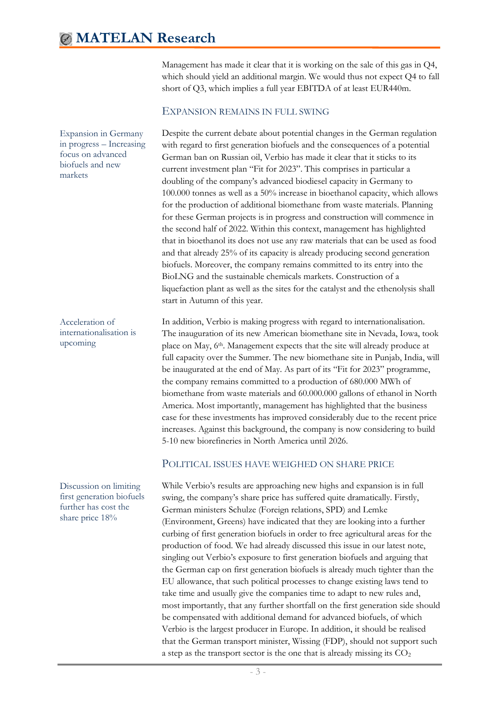Management has made it clear that it is working on the sale of this gas in Q4, which should yield an additional margin. We would thus not expect Q4 to fall short of Q3, which implies a full year EBITDA of at least EUR440m.

## EXPANSION REMAINS IN FULL SWING

Despite the current debate about potential changes in the German regulation with regard to first generation biofuels and the consequences of a potential German ban on Russian oil, Verbio has made it clear that it sticks to its current investment plan "Fit for 2023". This comprises in particular a doubling of the company's advanced biodiesel capacity in Germany to 100.000 tonnes as well as a 50% increase in bioethanol capacity, which allows for the production of additional biomethane from waste materials. Planning for these German projects is in progress and construction will commence in the second half of 2022. Within this context, management has highlighted that in bioethanol its does not use any raw materials that can be used as food and that already 25% of its capacity is already producing second generation biofuels. Moreover, the company remains committed to its entry into the BioLNG and the sustainable chemicals markets. Construction of a liquefaction plant as well as the sites for the catalyst and the ethenolysis shall start in Autumn of this year.

In addition, Verbio is making progress with regard to internationalisation. The inauguration of its new American biomethane site in Nevada, Iowa, took place on May, 6th. Management expects that the site will already produce at full capacity over the Summer. The new biomethane site in Punjab, India, will be inaugurated at the end of May. As part of its "Fit for 2023" programme, the company remains committed to a production of 680.000 MWh of biomethane from waste materials and 60.000.000 gallons of ethanol in North America. Most importantly, management has highlighted that the business case for these investments has improved considerably due to the recent price increases. Against this background, the company is now considering to build 5-10 new biorefineries in North America until 2026.

## POLITICAL ISSUES HAVE WEIGHED ON SHARE PRICE

While Verbio's results are approaching new highs and expansion is in full swing, the company's share price has suffered quite dramatically. Firstly, German ministers Schulze (Foreign relations, SPD) and Lemke (Environment, Greens) have indicated that they are looking into a further curbing of first generation biofuels in order to free agricultural areas for the production of food. We had already discussed this issue in our latest note, singling out Verbio's exposure to first generation biofuels and arguing that the German cap on first generation biofuels is already much tighter than the EU allowance, that such political processes to change existing laws tend to take time and usually give the companies time to adapt to new rules and, most importantly, that any further shortfall on the first generation side should be compensated with additional demand for advanced biofuels, of which Verbio is the largest producer in Europe. In addition, it should be realised that the German transport minister, Wissing (FDP), should not support such a step as the transport sector is the one that is already missing its  $CO<sub>2</sub>$ 

Expansion in Germany in progress – Increasing focus on advanced biofuels and new markets

Acceleration of internationalisation is upcoming

Discussion on limiting first generation biofuels further has cost the share price 18%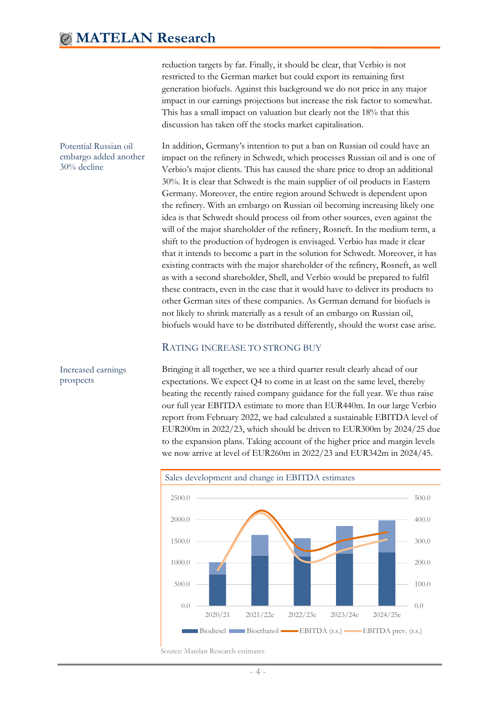reduction targets by far. Finally, it should be clear, that Verbio is not restricted to the German market but could export its remaining first generation biofuels. Against this background we do not price in any major impact in our earnings projections but increase the risk factor to somewhat. This has a small impact on valuation but clearly not the 18% that this discussion has taken off the stocks market capitalisation.

In addition, Germany's intention to put a ban on Russian oil could have an impact on the refinery in Schwedt, which processes Russian oil and is one of Verbio's major clients. This has caused the share price to drop an additional 30%. It is clear that Schwedt is the main supplier of oil products in Eastern Germany. Moreover, the entire region around Schwedt is dependent upon the refinery. With an embargo on Russian oil becoming increasing likely one idea is that Schwedt should process oil from other sources, even against the will of the major shareholder of the refinery, Rosneft. In the medium term, a shift to the production of hydrogen is envisaged. Verbio has made it clear that it intends to become a part in the solution for Schwedt. Moreover, it has existing contracts with the major shareholder of the refinery, Rosneft, as well as with a second shareholder, Shell, and Verbio would be prepared to fulfil these contracts, even in the case that it would have to deliver its products to other German sites of these companies. As German demand for biofuels is not likely to shrink materially as a result of an embargo on Russian oil, biofuels would have to be distributed differently, should the worst case arise. Potential Russian oil embargo added another 30% decline

## RATING INCREASE TO STRONG BUY

Increased earnings prospects

Bringing it all together, we see a third quarter result clearly ahead of our expectations. We expect Q4 to come in at least on the same level, thereby beating the recently raised company guidance for the full year. We thus raise our full year EBITDA estimate to more than EUR440m. In our large Verbio report from February 2022, we had calculated a sustainable EBITDA level of EUR200m in 2022/23, which should be driven to EUR300m by 2024/25 due to the expansion plans. Taking account of the higher price and margin levels we now arrive at level of EUR260m in 2022/23 and EUR342m in 2024/45.



Source: Matelan Research estimates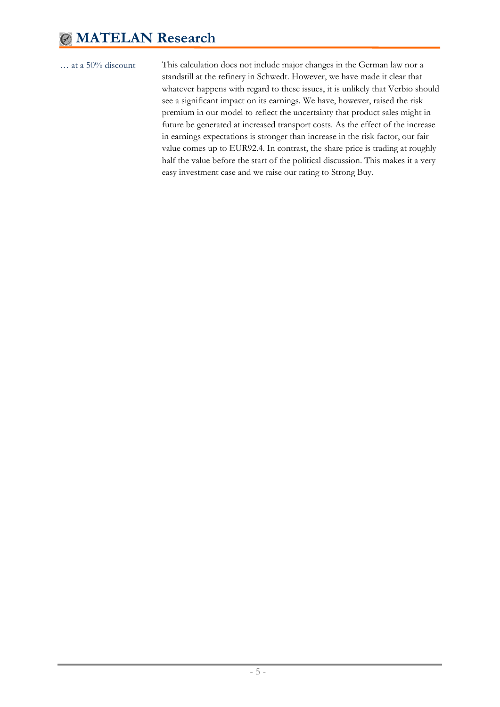This calculation does not include major changes in the German law nor a standstill at the refinery in Schwedt. However, we have made it clear that whatever happens with regard to these issues, it is unlikely that Verbio should see a significant impact on its earnings. We have, however, raised the risk premium in our model to reflect the uncertainty that product sales might in future be generated at increased transport costs. As the effect of the increase in earnings expectations is stronger than increase in the risk factor, our fair value comes up to EUR92.4. In contrast, the share price is trading at roughly half the value before the start of the political discussion. This makes it a very easy investment case and we raise our rating to Strong Buy.

<sup>…</sup> at a 50% discount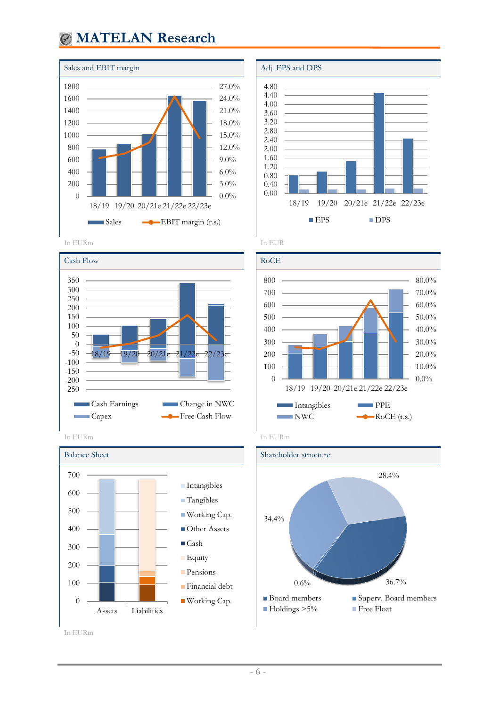

















In EURm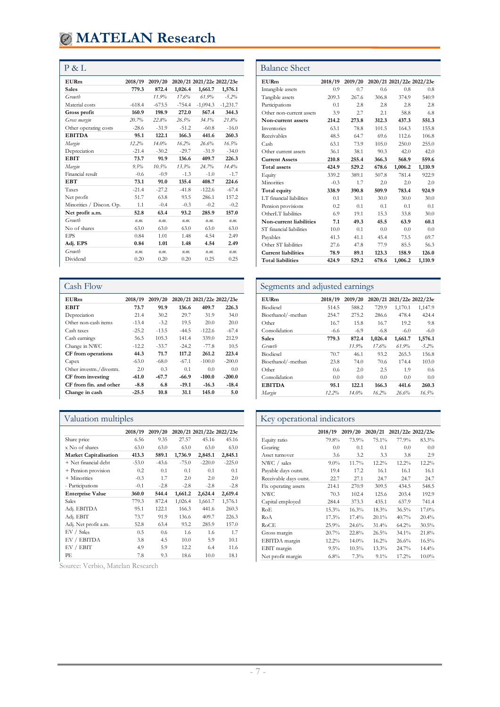| <b>EURm</b>              | 2018/19  | 2019/20  |          | 2020/21 2021/22e 2022/23e |            |
|--------------------------|----------|----------|----------|---------------------------|------------|
| <b>Sales</b>             | 779.3    | 872.4    | 1.026.4  | 1,661.7                   | 1,576.1    |
| Growth                   |          | 11.9%    | 17.6%    | 61.9%                     | $-5.2\%$   |
| Material costs           | $-618.4$ | $-673.5$ | $-754.4$ | $-1,094.3$                | $-1,231.7$ |
| Gross profit             | 160.9    | 198.9    | 272.0    | 567.4                     | 344.3      |
| Gross margin             | 20.7%    | 22.8%    | 26.5%    | 34.1%                     | 21.8%      |
| Other operating costs    | $-28.6$  | $-31.9$  | $-51.2$  | $-60.8$                   | $-16.0$    |
| <b>EBITDA</b>            | 95.1     | 122.1    | 166.3    | 441.6                     | 260.3      |
| Margin                   | 12.2%    | 14.0%    | 16.2%    | 26.6%                     | 16.5%      |
| Depreciation             | $-21.4$  | $-30.2$  | $-29.7$  | $-31.9$                   | $-34.0$    |
| <b>EBIT</b>              | 73.7     | 91.9     | 136.6    | 409.7                     | 226.3      |
| Margin                   | 9.5%     | 10.5%    | 13.3%    | 24.7%                     | 14.4%      |
| Financial result         | $-0.6$   | $-0.9$   | $-1.3$   | $-1.0$                    | $-1.7$     |
| EBT                      | 73.1     | 91.0     | 135.4    | 408.7                     | 224.6      |
| Taxes                    | $-21.4$  | $-27.2$  | $-41.8$  | $-122.6$                  | $-67.4$    |
| Net profit               | 51.7     | 63.8     | 93.5     | 286.1                     | 157.2      |
| Minorities / Discon. Op. | 1.1      | $-0.4$   | $-0.3$   | $-0.2$                    | $-0.2$     |
| Net profit a.m.          | 52.8     | 63.4     | 93.2     | 285.9                     | 157.0      |
| Growth                   | n.m.     | n.m.     | n.m.     | n.m.                      | n.m.       |
| No of shares             | 63.0     | 63.0     | 63.0     | 63.0                      | 63.0       |
| EPS                      | 0.84     | 1.01     | 1.48     | 4.54                      | 2.49       |
| Adj. EPS                 | 0.84     | 1.01     | 1.48     | 4.54                      | 2.49       |
| Growth                   | n.m.     | n.m.     | n.m.     | n.m.                      | n.m.       |
| Dividend                 | 0.20     | 0.20     | 0.20     | 0.25                      | 0.25       |

| Cash Flow               |         |         |         |                           |          |
|-------------------------|---------|---------|---------|---------------------------|----------|
| EURm                    | 2018/19 | 2019/20 |         | 2020/21 2021/22e 2022/23e |          |
| <b>EBIT</b>             | 73.7    | 91.9    | 136.6   | 409.7                     | 226.3    |
| Depreciation            | 21.4    | 30.2    | 29.7    | 31.9                      | 34.0     |
| Other non-cash items    | $-13.4$ | $-3.2$  | 19.5    | 20.0                      | 20.0     |
| Cash taxes              | $-25.2$ | $-13.5$ | $-44.5$ | $-122.6$                  | $-67.4$  |
| Cash earnings           | 56.5    | 105.3   | 141.4   | 339.0                     | 212.9    |
| Change in NWC           | $-12.2$ | $-33.7$ | $-24.2$ | $-77.8$                   | 10.5     |
| CF from operations      | 44.3    | 71.7    | 117.2   | 261.2                     | 223.4    |
| Capex                   | $-63.0$ | $-68.0$ | $-67.1$ | $-100.0$                  | $-200.0$ |
| Other investm./divestm. | 2.0     | 0.3     | 0.1     | 0.0                       | 0.0      |
| CF from investing       | $-61.0$ | $-67.7$ | $-66.9$ | $-100.0$                  | $-200.0$ |
| CF from fin. and other  | $-8.8$  | 6.8     | $-19.1$ | $-16.3$                   | $-18.4$  |
| Change in cash          | $-25.5$ | 10.8    | 31.1    | 145.0                     | 5.0      |

|                              | 2018/19 | 2019/20 |         | 2020/21 2021/22e 2022/23e |          |
|------------------------------|---------|---------|---------|---------------------------|----------|
| Share price                  | 6.56    | 9.35    | 27.57   | 45.16                     | 45.16    |
| x No of shares               | 63.0    | 63.0    | 63.0    | 63.0                      | 63.0     |
| <b>Market Capitalisation</b> | 413.3   | 589.1   | 1,736.9 | 2,845.1                   | 2,845.1  |
| + Net financial debt         | $-53.0$ | $-43.6$ | $-75.0$ | $-220.0$                  | $-225.0$ |
| + Pension provision          | 0.2     | 0.1     | 0.1     | 0.1                       | 0.1      |
| $+$ Minorities               | $-0.3$  | 1.7     | 2.0     | 2.0                       | 2.0      |
| - Participations             | $-0.1$  | $-2.8$  | $-2.8$  | $-2.8$                    | $-2.8$   |
| <b>Enterprise Value</b>      | 360.0   | 544.4   | 1,661.2 | 2,624.4                   | 2,619.4  |
| Sales                        | 779.3   | 872.4   | 1,026.4 | 1,661.7                   | 1,576.1  |
| Adj. EBITDA                  | 95.1    | 122.1   | 166.3   | 441.6                     | 260.3    |
| Adj. EBIT                    | 73.7    | 91.9    | 136.6   | 409.7                     | 226.3    |
| Adj. Net profit a.m.         | 52.8    | 63.4    | 93.2    | 285.9                     | 157.0    |
| EV / Sales                   | 0.5     | 0.6     | 1.6     | 1.6                       | 1.7      |
| EV / EBITDA                  | 3.8     | 4.5     | 10.0    | 5.9                       | 10.1     |
| EV / EBIT                    | 4.9     | 5.9     | 12.2    | 6.4                       | 11.6     |
| РE                           | 7.8     | 9.3     | 18.6    | 10.0                      | 18.1     |

Source: Verbio, Matelan Research

| P & L                    |          |          |          |                           |            | <b>Balance Sheet</b>       |         |         |                           |         |
|--------------------------|----------|----------|----------|---------------------------|------------|----------------------------|---------|---------|---------------------------|---------|
| <b>EURm</b>              | 2018/19  | 2019/20  |          | 2020/21 2021/22e 2022/23e |            | <b>EURm</b>                | 2018/19 | 2019/20 | 2020/21 2021/22e 2022/23e |         |
| <b>Sales</b>             | 779.3    | 872.4    | 1.026.4  | 1,661.7                   | 1,576.1    | Intangible assets          | 0.9     | 0.7     | 0.6                       | 0.8     |
| Growth                   |          | 11.9%    | 17.6%    | 61.9%                     | $-5.2%$    | Tangible assets            | 209.3   | 267.6   | 306.8                     | 374.9   |
| Material costs           | $-618.4$ | $-673.5$ | $-754.4$ | $-1,094.3$                | $-1,231.7$ | Participations             | 0.1     | 2.8     | 2.8                       | 2.8     |
| Gross profit             | 160.9    | 198.9    | 272.0    | 567.4                     | 344.3      | Other non-current assets   | 3.9     | 2.7     | 2.1                       | 58.8    |
| Gross margin             | 20.7%    | 22.8%    | 26.5%    | 34.1%                     | 21.8%      | Non-current assets         | 214.2   | 273.8   | 312.3                     | 437.3   |
| Other operating costs    | $-28.6$  | $-31.9$  | $-51.2$  | $-60.8$                   | $-16.0$    | Inventories                | 63.1    | 78.8    | 101.5                     | 164.3   |
| <b>EBITDA</b>            | 95.1     | 122.1    | 166.3    | 441.6                     | 260.3      | Receivables                | 48.5    | 64.7    | 69.6                      | 112.6   |
| Margin                   | 12.2%    | 14.0%    | 16.2%    | 26.6%                     | 16.5%      | Cash                       | 63.1    | 73.9    | 105.0                     | 250.0   |
| Depreciation             | $-21.4$  | $-30.2$  | $-29.7$  | $-31.9$                   | $-34.0$    | Other current assets       | 36.1    | 38.1    | 90.3                      | 42.0    |
| <b>EBIT</b>              | 73.7     | 91.9     | 136.6    | 409.7                     | 226.3      | <b>Current Assets</b>      | 210.8   | 255.4   | 366.3                     | 568.9   |
| Margin                   | 9.5%     | 10.5%    | 13.3%    | 24.7%                     | 14.4%      | <b>Total assets</b>        | 424.9   | 529.2   | 678.6                     | 1,006.2 |
| Financial result         | $-0.6$   | $-0.9$   | $-1.3$   | $-1.0$                    | $-1.7$     | Equity                     | 339.2   | 389.1   | 507.8                     | 781.4   |
| <b>EBT</b>               | 73.1     | 91.0     | 135.4    | 408.7                     | 224.6      | Minorities                 | $-0.3$  | 1.7     | 2.0                       | 2.0     |
| Taxes                    | $-21.4$  | $-27.2$  | $-41.8$  | $-122.6$                  | $-67.4$    | Total equity               | 338.9   | 390.8   | 509.9                     | 783.4   |
| Net profit               | 51.7     | 63.8     | 93.5     | 286.1                     | 157.2      | LT financial liabilities   | 0.1     | 30.1    | 30.0                      | 30.0    |
| Minorities / Discon. Op. | 1.1      | $-0.4$   | $-0.3$   | $-0.2$                    | $-0.2$     | Pension provisions         | 0.2     | 0.1     | 0.1                       | 0.1     |
| Net profit a.m.          | 52.8     | 63.4     | 93.2     | 285.9                     | 157.0      | OtherLT liabilities        | 6.9     | 19.1    | 15.3                      | 33.8    |
| Growth                   | n.m.     | n.m.     | n.m.     | n.m.                      | n.m.       | Non-current liabilities    | 7.1     | 49.3    | 45.5                      | 63.9    |
| No of shares             | 63.0     | 63.0     | 63.0     | 63.0                      | 63.0       | ST financial liabilities   | 10.0    | 0.1     | 0.0                       | 0.0     |
| <b>EPS</b>               | 0.84     | 1.01     | 1.48     | 4.54                      | 2.49       | Payables                   | 41.3    | 41.1    | 45.4                      | 73.5    |
| Adj. EPS                 | 0.84     | 1.01     | 1.48     | 4.54                      | 2.49       | Other ST liabilities       | 27.6    | 47.8    | 77.9                      | 85.5    |
| Growth                   | n.m.     | n.m.     | n.m.     | n.m.                      | n.m.       | <b>Current liabilities</b> | 78.9    | 89.1    | 123.3                     | 158.9   |
| Dividend                 | 0.20     | 0.20     | 0.20     | 0.25                      | 0.25       | <b>Total liabilities</b>   | 424.9   | 529.2   | 678.6                     | 1,006.2 |

# Segments and adjusted earnings

| <b>EURm</b>        | 2018/19 | 2019/20 |         | 2020/21 2021/22e 2022/23e |         |
|--------------------|---------|---------|---------|---------------------------|---------|
| Biodiesel          | 514.5   | 588.2   | 729.9   | 1,170.1                   | 1,147.9 |
| Bioethanol/-methan | 254.7   | 275.2   | 286.6   | 478.4                     | 424.4   |
| Other              | 16.7    | 15.8    | 16.7    | 19.2                      | 9.8     |
| Consolidation      | $-6.6$  | $-6.9$  | $-6.8$  | $-6.0$                    | $-6.0$  |
| <b>Sales</b>       | 779.3   | 872.4   | 1,026.4 | 1,661.7                   | 1,576.1 |
| Growth             |         | 11.9%   | 17.6%   | 61.9%                     | $-5.2%$ |
| Biodiesel          | 70.7    | 46.1    | 93.2    | 265.3                     | 156.8   |
| Bioethanol/-methan | 23.8    | 74.0    | 70.6    | 174.4                     | 103.0   |
| Other              | 0.6     | 2.0     | 2.5     | 1.9                       | 0.6     |
| Consolidation      | 0.0     | 0.0     | 0.0     | 0.0                       | 0.0     |
| <b>EBITDA</b>      | 95.1    | 122.1   | 166.3   | 441.6                     | 260.3   |
| Margin             | 12.2%   | 14.0%   | 16.2%   | 26.6%                     | 16.5%   |
|                    |         |         |         |                           |         |

# Valuation multiples Key operational indicators

|                        | 2018/19 | 2019/20  |         | 2020/21 2021/22e 2022/23e |          |
|------------------------|---------|----------|---------|---------------------------|----------|
| Equity ratio           | 79.8%   | 73.9%    | 75.1%   | 77.9%                     | 83.3%    |
| Gearing                | 0.0     | 0.1      | 0.1     | 0.0                       | 0.0      |
| Asset turnover         | 3.6     | 3.2      | 3.3     | 3.8                       | 2.9      |
| NWC / sales            | $9.0\%$ | 11.7%    | 12.2%   | 12.2%                     | 12.2%    |
| Payable days outst.    | 19.4    | 17.2     | 16.1    | 16.1                      | 16.1     |
| Receivable days outst. | 22.7    | 27.1     | 24.7    | 24.7                      | 24.7     |
| Fix operating assets   | 214.1   | 270.9    | 309.5   | 434.5                     | 548.5    |
| NWC.                   | 70.3    | 102.4    | 125.6   | 203.4                     | 192.9    |
| Capital employed       | 284.4   | 373.3    | 435.1   | 637.9                     | 741.4    |
| RoE.                   | 15.3%   | 16.3%    | 18.3%   | 36.5%                     | 17.0%    |
| RoA                    | 17.3%   | $17.4\%$ | 20.1%   | 40.7%                     | 20.4%    |
| RoCE                   | 25.9%   | 24.6%    | 31.4%   | 64.2%                     | 30.5%    |
| Gross margin           | 20.7%   | 22.8%    | 26.5%   | 34.1%                     | 21.8%    |
| EBITDA margin          | 12.2%   | 14.0%    | 16.2%   | 26.6%                     | 16.5%    |
| EBIT margin            | 9.5%    | $10.5\%$ | 13.3%   | 24.7%                     | 14.4%    |
| Net profit margin      | 6.8%    | 7.3%     | $9.1\%$ | 17.2%                     | $10.0\%$ |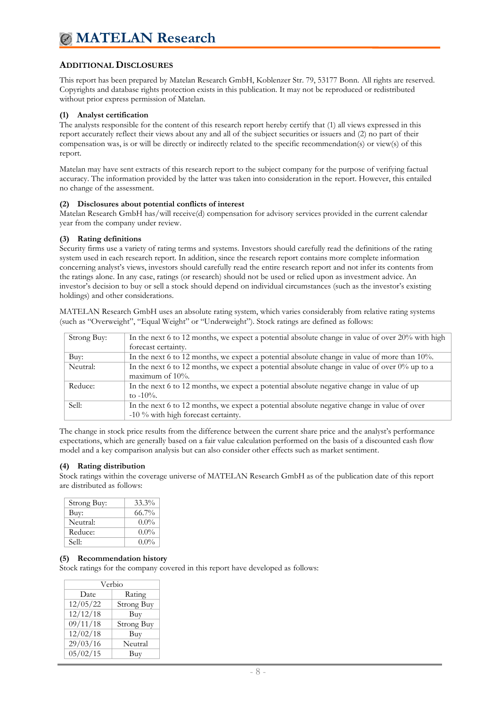## **ADDITIONAL DISCLOSURES**

This report has been prepared by Matelan Research GmbH, Koblenzer Str. 79, 53177 Bonn. All rights are reserved. Copyrights and database rights protection exists in this publication. It may not be reproduced or redistributed without prior express permission of Matelan.

## **(1) Analyst certification**

The analysts responsible for the content of this research report hereby certify that (1) all views expressed in this report accurately reflect their views about any and all of the subject securities or issuers and (2) no part of their compensation was, is or will be directly or indirectly related to the specific recommendation(s) or view(s) of this report.

Matelan may have sent extracts of this research report to the subject company for the purpose of verifying factual accuracy. The information provided by the latter was taken into consideration in the report. However, this entailed no change of the assessment.

### **(2) Disclosures about potential conflicts of interest**

Matelan Research GmbH has/will receive(d) compensation for advisory services provided in the current calendar year from the company under review.

## **(3) Rating definitions**

Security firms use a variety of rating terms and systems. Investors should carefully read the definitions of the rating system used in each research report. In addition, since the research report contains more complete information concerning analyst's views, investors should carefully read the entire research report and not infer its contents from the ratings alone. In any case, ratings (or research) should not be used or relied upon as investment advice. An investor's decision to buy or sell a stock should depend on individual circumstances (such as the investor's existing holdings) and other considerations.

MATELAN Research GmbH uses an absolute rating system, which varies considerably from relative rating systems (such as "Overweight", "Equal Weight" or "Underweight"). Stock ratings are defined as follows:

| Strong Buy: | In the next 6 to 12 months, we expect a potential absolute change in value of over $20\%$ with high |
|-------------|-----------------------------------------------------------------------------------------------------|
|             | forecast certainty.                                                                                 |
| Buv:        | In the next 6 to 12 months, we expect a potential absolute change in value of more than 10%.        |
| Neutral:    | In the next 6 to 12 months, we expect a potential absolute change in value of over $0\%$ up to a    |
|             | maximum of $10\%$ .                                                                                 |
| Reduce:     | In the next 6 to 12 months, we expect a potential absolute negative change in value of up           |
|             | to $-10\%$ .                                                                                        |
| Sell:       | In the next 6 to 12 months, we expect a potential absolute negative change in value of over         |
|             | -10 % with high forecast certainty.                                                                 |

The change in stock price results from the difference between the current share price and the analyst's performance expectations, which are generally based on a fair value calculation performed on the basis of a discounted cash flow model and a key comparison analysis but can also consider other effects such as market sentiment.

## **(4) Rating distribution**

Stock ratings within the coverage universe of MATELAN Research GmbH as of the publication date of this report are distributed as follows:

| Strong Buy: | $33.3\%$ |
|-------------|----------|
| Buy:        | $66.7\%$ |
| Neutral:    | $0.0\%$  |
| Reduce:     | $0.0\%$  |
| Sell:       | $0.0\%$  |

## **(5) Recommendation history**

Stock ratings for the company covered in this report have developed as follows:

| Verbio   |                   |  |  |
|----------|-------------------|--|--|
| Date     | Rating            |  |  |
| 12/05/22 | Strong Buy        |  |  |
| 12/12/18 | Buy               |  |  |
| 09/11/18 | <b>Strong Buy</b> |  |  |
| 12/02/18 | Buy               |  |  |
| 29/03/16 | Neutral           |  |  |
| 05/02/15 | Buy               |  |  |